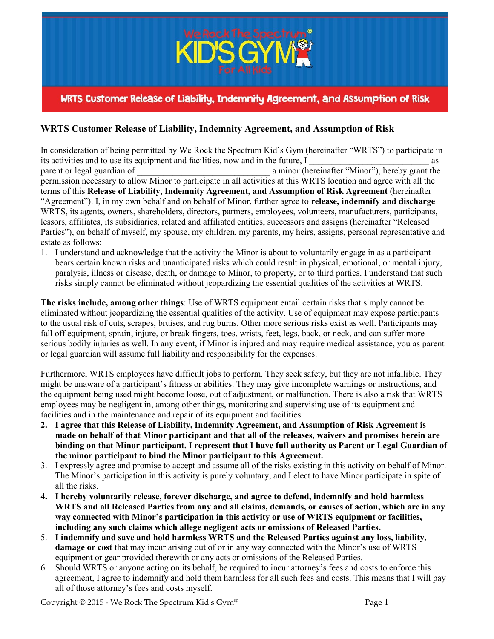

## **WRTS Customer Release of Liability, Indemnity Agreement, and Assumption of Risk**

In consideration of being permitted by We Rock the Spectrum Kid's Gym (hereinafter "WRTS") to participate in its activities and to use its equipment and facilities, now and in the future, I as parent or legal guardian of a minor (hereinafter "Minor"), hereby grant the permission necessary to allow Minor to participate in all activities at this WRTS location and agree with all the terms of this **Release of Liability, Indemnity Agreement, and Assumption of Risk Agreement** (hereinafter "Agreement"). I, in my own behalf and on behalf of Minor, further agree to **release, indemnify and discharge** WRTS, its agents, owners, shareholders, directors, partners, employees, volunteers, manufacturers, participants, lessors, affiliates, its subsidiaries, related and affiliated entities, successors and assigns (hereinafter "Released Parties"), on behalf of myself, my spouse, my children, my parents, my heirs, assigns, personal representative and estate as follows:

1. I understand and acknowledge that the activity the Minor is about to voluntarily engage in as a participant bears certain known risks and unanticipated risks which could result in physical, emotional, or mental injury, paralysis, illness or disease, death, or damage to Minor, to property, or to third parties. I understand that such risks simply cannot be eliminated without jeopardizing the essential qualities of the activities at WRTS.

**The risks include, among other things**: Use of WRTS equipment entail certain risks that simply cannot be eliminated without jeopardizing the essential qualities of the activity. Use of equipment may expose participants to the usual risk of cuts, scrapes, bruises, and rug burns. Other more serious risks exist as well. Participants may fall off equipment, sprain, injure, or break fingers, toes, wrists, feet, legs, back, or neck, and can suffer more serious bodily injuries as well. In any event, if Minor is injured and may require medical assistance, you as parent or legal guardian will assume full liability and responsibility for the expenses.

Furthermore, WRTS employees have difficult jobs to perform. They seek safety, but they are not infallible. They might be unaware of a participant's fitness or abilities. They may give incomplete warnings or instructions, and the equipment being used might become loose, out of adjustment, or malfunction. There is also a risk that WRTS employees may be negligent in, among other things, monitoring and supervising use of its equipment and facilities and in the maintenance and repair of its equipment and facilities.

- **2. I agree that this Release of Liability, Indemnity Agreement, and Assumption of Risk Agreement is made on behalf of that Minor participant and that all of the releases, waivers and promises herein are binding on that Minor participant. I represent that I have full authority as Parent or Legal Guardian of the minor participant to bind the Minor participant to this Agreement.**
- 3. I expressly agree and promise to accept and assume all of the risks existing in this activity on behalf of Minor. The Minor's participation in this activity is purely voluntary, and I elect to have Minor participate in spite of all the risks.
- **4. I hereby voluntarily release, forever discharge, and agree to defend, indemnify and hold harmless WRTS and all Released Parties from any and all claims, demands, or causes of action, which are in any way connected with Minor's participation in this activity or use of WRTS equipment or facilities, including any such claims which allege negligent acts or omissions of Released Parties.**
- 5. **I indemnify and save and hold harmless WRTS and the Released Parties against any loss, liability, damage or cost** that may incur arising out of or in any way connected with the Minor's use of WRTS equipment or gear provided therewith or any acts or omissions of the Released Parties.
- 6. Should WRTS or anyone acting on its behalf, be required to incur attorney's fees and costs to enforce this agreement, I agree to indemnify and hold them harmless for all such fees and costs. This means that I will pay all of those attorney's fees and costs myself.

Copyright  $\odot$  2015 - We Rock The Spectrum Kid's Gym<sup>®</sup> Page 1